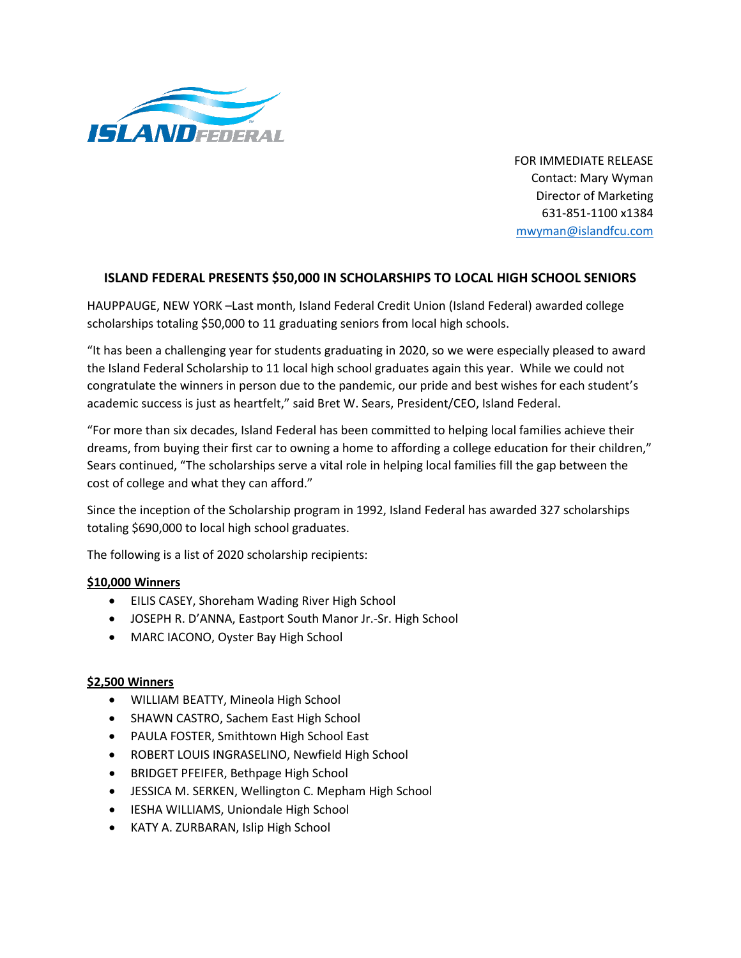

FOR IMMEDIATE RELEASE Contact: Mary Wyman Director of Marketing 631-851-1100 x1384 [mwyman@islandfcu.com](mailto:Ldunn@islandfcu.com)

## **ISLAND FEDERAL PRESENTS \$50,000 IN SCHOLARSHIPS TO LOCAL HIGH SCHOOL SENIORS**

HAUPPAUGE, NEW YORK –Last month, Island Federal Credit Union (Island Federal) awarded college scholarships totaling \$50,000 to 11 graduating seniors from local high schools.

"It has been a challenging year for students graduating in 2020, so we were especially pleased to award the Island Federal Scholarship to 11 local high school graduates again this year. While we could not congratulate the winners in person due to the pandemic, our pride and best wishes for each student's academic success is just as heartfelt," said Bret W. Sears, President/CEO, Island Federal.

"For more than six decades, Island Federal has been committed to helping local families achieve their dreams, from buying their first car to owning a home to affording a college education for their children," Sears continued, "The scholarships serve a vital role in helping local families fill the gap between the cost of college and what they can afford."

Since the inception of the Scholarship program in 1992, Island Federal has awarded 327 scholarships totaling \$690,000 to local high school graduates.

The following is a list of 2020 scholarship recipients:

## **\$10,000 Winners**

- EILIS CASEY, Shoreham Wading River High School
- JOSEPH R. D'ANNA, Eastport South Manor Jr.-Sr. High School
- MARC IACONO, Oyster Bay High School

## **\$2,500 Winners**

- WILLIAM BEATTY, Mineola High School
- SHAWN CASTRO, Sachem East High School
- PAULA FOSTER, Smithtown High School East
- ROBERT LOUIS INGRASELINO, Newfield High School
- BRIDGET PFEIFER, Bethpage High School
- JESSICA M. SERKEN, Wellington C. Mepham High School
- IESHA WILLIAMS, Uniondale High School
- KATY A. ZURBARAN, Islip High School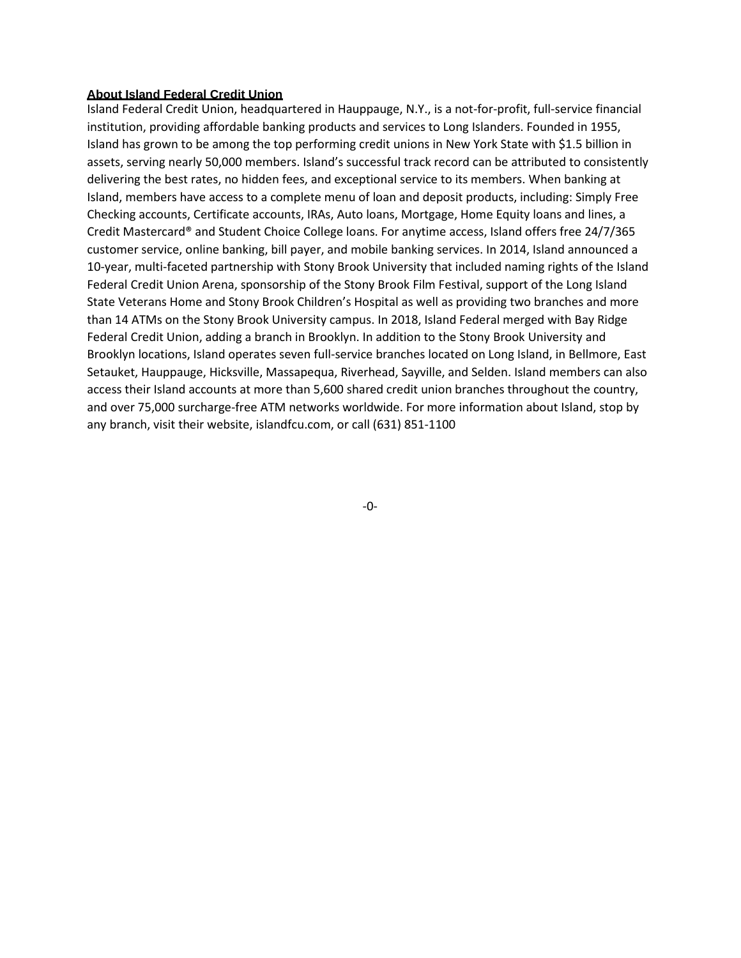## **About Island Federal Credit Union**

Island Federal Credit Union, headquartered in Hauppauge, N.Y., is a not-for-profit, full-service financial institution, providing affordable banking products and services to Long Islanders. Founded in 1955, Island has grown to be among the top performing credit unions in New York State with \$1.5 billion in assets, serving nearly 50,000 members. Island's successful track record can be attributed to consistently delivering the best rates, no hidden fees, and exceptional service to its members. When banking at Island, members have access to a complete menu of loan and deposit products, including: Simply Free Checking accounts, Certificate accounts, IRAs, Auto loans, Mortgage, Home Equity loans and lines, a Credit Mastercard® and Student Choice College loans. For anytime access, Island offers free 24/7/365 customer service, online banking, bill payer, and mobile banking services. In 2014, Island announced a 10-year, multi-faceted partnership with Stony Brook University that included naming rights of the Island Federal Credit Union Arena, sponsorship of the Stony Brook Film Festival, support of the Long Island State Veterans Home and Stony Brook Children's Hospital as well as providing two branches and more than 14 ATMs on the Stony Brook University campus. In 2018, Island Federal merged with Bay Ridge Federal Credit Union, adding a branch in Brooklyn. In addition to the Stony Brook University and Brooklyn locations, Island operates seven full-service branches located on Long Island, in Bellmore, East Setauket, Hauppauge, Hicksville, Massapequa, Riverhead, Sayville, and Selden. Island members can also access their Island accounts at more than 5,600 shared credit union branches throughout the country, and over 75,000 surcharge-free ATM networks worldwide. For more information about Island, stop by any branch, visit their website, islandfcu.com, or call (631) 851-1100

-0-